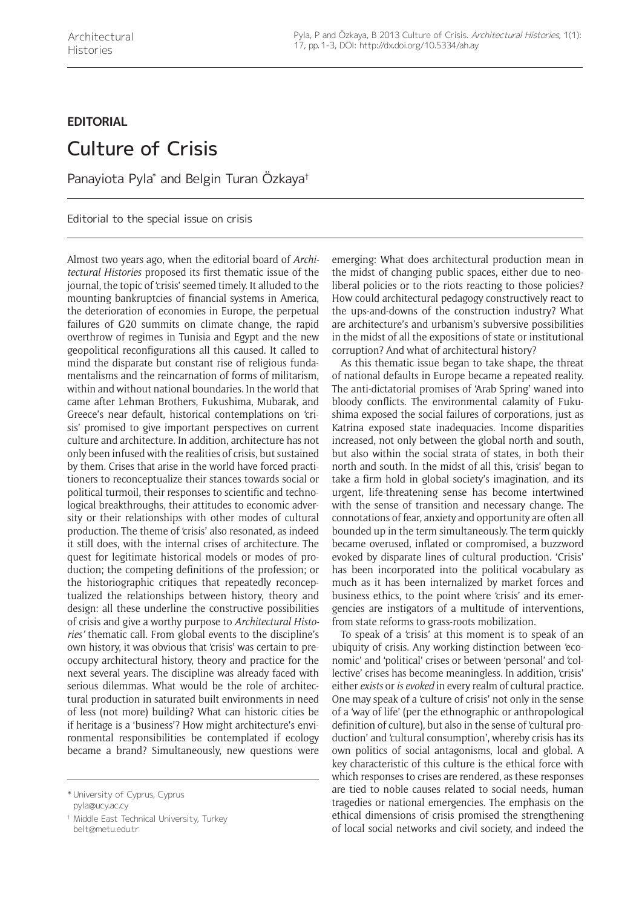## **EDITORIAL**

## Culture of Crisis

Panayiota Pyla $^*$  and Belgin Turan Ozkaya†

Editorial to the special issue on crisis

Almost two years ago, when the editorial board of *Architectural Histories* proposed its first thematic issue of the journal, the topic of 'crisis' seemed timely. It alluded to the mounting bankruptcies of financial systems in America, the deterioration of economies in Europe, the perpetual failures of G20 summits on climate change, the rapid overthrow of regimes in Tunisia and Egypt and the new geopolitical reconfigurations all this caused. It called to mind the disparate but constant rise of religious fundamentalisms and the reincarnation of forms of militarism, within and without national boundaries. In the world that came after Lehman Brothers, Fukushima, Mubarak, and Greece's near default, historical contemplations on 'crisis' promised to give important perspectives on current culture and architecture. In addition, architecture has not only been infused with the realities of crisis, but sustained by them. Crises that arise in the world have forced practitioners to reconceptualize their stances towards social or political turmoil, their responses to scientific and technological breakthroughs, their attitudes to economic adversity or their relationships with other modes of cultural production. The theme of 'crisis' also resonated, as indeed it still does, with the internal crises of architecture. The quest for legitimate historical models or modes of production; the competing definitions of the profession; or the historiographic critiques that repeatedly reconceptualized the relationships between history, theory and design: all these underline the constructive possibilities of crisis and give a worthy purpose to *Architectural Histories'* thematic call. From global events to the discipline's own history, it was obvious that 'crisis' was certain to preoccupy architectural history, theory and practice for the next several years. The discipline was already faced with serious dilemmas. What would be the role of architectural production in saturated built environments in need of less (not more) building? What can historic cities be if heritage is a 'business'? How might architecture's environmental responsibilities be contemplated if ecology became a brand? Simultaneously, new questions were

† Middle East Technical University, Turkey [belt@metu.edu.tr](mailto:belt@metu.edu.tr)

emerging: What does architectural production mean in the midst of changing public spaces, either due to neoliberal policies or to the riots reacting to those policies? How could architectural pedagogy constructively react to the ups-and-downs of the construction industry? What are architecture's and urbanism's subversive possibilities in the midst of all the expositions of state or institutional corruption? And what of architectural history?

As this thematic issue began to take shape, the threat of national defaults in Europe became a repeated reality. The anti-dictatorial promises of 'Arab Spring' waned into bloody conflicts. The environmental calamity of Fukushima exposed the social failures of corporations, just as Katrina exposed state inadequacies. Income disparities increased, not only between the global north and south, but also within the social strata of states, in both their north and south. In the midst of all this, 'crisis' began to take a firm hold in global society's imagination, and its urgent, life-threatening sense has become intertwined with the sense of transition and necessary change. The connotations of fear, anxiety and opportunity are often all bounded up in the term simultaneously. The term quickly became overused, inflated or compromised, a buzzword evoked by disparate lines of cultural production. 'Crisis' has been incorporated into the political vocabulary as much as it has been internalized by market forces and business ethics, to the point where 'crisis' and its emergencies are instigators of a multitude of interventions, from state reforms to grass-roots mobilization.

To speak of a 'crisis' at this moment is to speak of an ubiquity of crisis. Any working distinction between 'economic' and 'political' crises or between 'personal' and 'collective' crises has become meaningless. In addition, 'crisis' either *exists* or *is evoked* in every realm of cultural practice. One may speak of a 'culture of crisis' not only in the sense of a 'way of life' (per the ethnographic or anthropological definition of culture), but also in the sense of 'cultural production' and 'cultural consumption', whereby crisis has its own politics of social antagonisms, local and global. A key characteristic of this culture is the ethical force with which responses to crises are rendered, as these responses are tied to noble causes related to social needs, human tragedies or national emergencies. The emphasis on the ethical dimensions of crisis promised the strengthening of local social networks and civil society, and indeed the

<sup>\*</sup> University of Cyprus, Cyprus [pyla@ucy.ac.cy](mailto:pyla@ucy.ac.cy)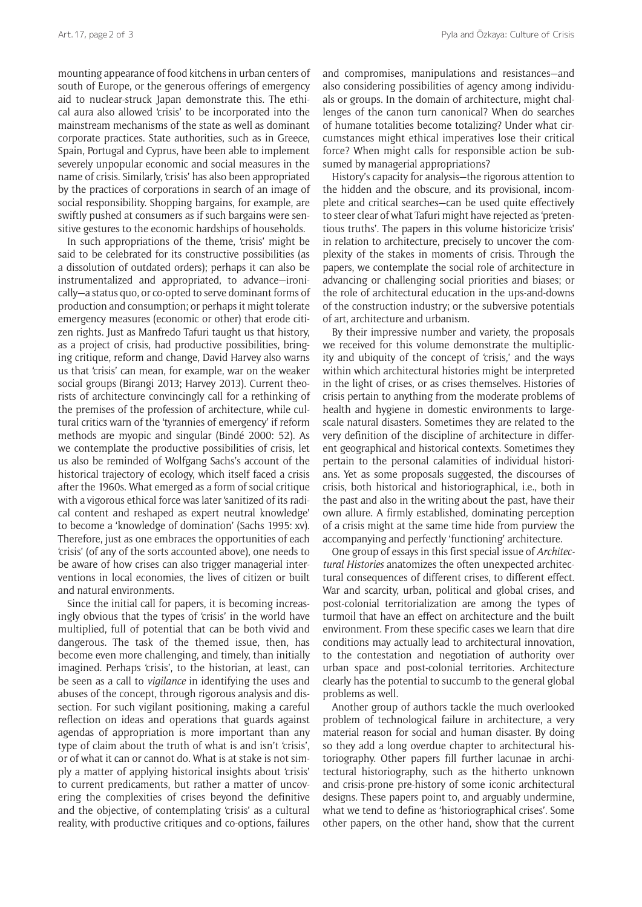mounting appearance of food kitchens in urban centers of south of Europe, or the generous offerings of emergency aid to nuclear-struck Japan demonstrate this. The ethical aura also allowed 'crisis' to be incorporated into the mainstream mechanisms of the state as well as dominant corporate practices. State authorities, such as in Greece, Spain, Portugal and Cyprus, have been able to implement severely unpopular economic and social measures in the name of crisis. Similarly, 'crisis' has also been appropriated by the practices of corporations in search of an image of social responsibility. Shopping bargains, for example, are swiftly pushed at consumers as if such bargains were sensitive gestures to the economic hardships of households.

In such appropriations of the theme, 'crisis' might be said to be celebrated for its constructive possibilities (as a dissolution of outdated orders); perhaps it can also be instrumentalized and appropriated, to advance—ironically—a status quo, or co-opted to serve dominant forms of production and consumption; or perhaps it might tolerate emergency measures (economic or other) that erode citizen rights. Just as Manfredo Tafuri taught us that history, as a project of crisis, had productive possibilities, bringing critique, reform and change, David Harvey also warns us that 'crisis' can mean, for example, war on the weaker social groups (Birangi 2013; Harvey 2013). Current theorists of architecture convincingly call for a rethinking of the premises of the profession of architecture, while cultural critics warn of the 'tyrannies of emergency' if reform methods are myopic and singular (Bindé 2000: 52). As we contemplate the productive possibilities of crisis, let us also be reminded of Wolfgang Sachs's account of the historical trajectory of ecology, which itself faced a crisis after the 1960s. What emerged as a form of social critique with a vigorous ethical force was later 'sanitized of its radical content and reshaped as expert neutral knowledge' to become a 'knowledge of domination' (Sachs 1995: xv). Therefore, just as one embraces the opportunities of each 'crisis' (of any of the sorts accounted above), one needs to be aware of how crises can also trigger managerial interventions in local economies, the lives of citizen or built and natural environments.

Since the initial call for papers, it is becoming increasingly obvious that the types of 'crisis' in the world have multiplied, full of potential that can be both vivid and dangerous. The task of the themed issue, then, has become even more challenging, and timely, than initially imagined. Perhaps 'crisis', to the historian, at least, can be seen as a call to *vigilance* in identifying the uses and abuses of the concept, through rigorous analysis and dissection. For such vigilant positioning, making a careful reflection on ideas and operations that guards against agendas of appropriation is more important than any type of claim about the truth of what is and isn't 'crisis', or of what it can or cannot do. What is at stake is not simply a matter of applying historical insights about 'crisis' to current predicaments, but rather a matter of uncovering the complexities of crises beyond the definitive and the objective, of contemplating 'crisis' as a cultural reality, with productive critiques and co-options, failures and compromises, manipulations and resistances—and also considering possibilities of agency among individuals or groups. In the domain of architecture, might challenges of the canon turn canonical? When do searches of humane totalities become totalizing? Under what circumstances might ethical imperatives lose their critical force? When might calls for responsible action be subsumed by managerial appropriations?

History's capacity for analysis—the rigorous attention to the hidden and the obscure, and its provisional, incomplete and critical searches—can be used quite effectively to steer clear of what Tafuri might have rejected as 'pretentious truths'. The papers in this volume historicize 'crisis' in relation to architecture, precisely to uncover the complexity of the stakes in moments of crisis. Through the papers, we contemplate the social role of architecture in advancing or challenging social priorities and biases; or the role of architectural education in the ups-and-downs of the construction industry; or the subversive potentials of art, architecture and urbanism.

By their impressive number and variety, the proposals we received for this volume demonstrate the multiplicity and ubiquity of the concept of 'crisis,' and the ways within which architectural histories might be interpreted in the light of crises, or as crises themselves. Histories of crisis pertain to anything from the moderate problems of health and hygiene in domestic environments to largescale natural disasters. Sometimes they are related to the very definition of the discipline of architecture in different geographical and historical contexts. Sometimes they pertain to the personal calamities of individual historians. Yet as some proposals suggested, the discourses of crisis, both historical and historiographical, i.e., both in the past and also in the writing about the past, have their own allure. A firmly established, dominating perception of a crisis might at the same time hide from purview the accompanying and perfectly 'functioning' architecture.

One group of essays in this first special issue of *Architectural Histories* anatomizes the often unexpected architectural consequences of different crises, to different effect. War and scarcity, urban, political and global crises, and post-colonial territorialization are among the types of turmoil that have an effect on architecture and the built environment. From these specific cases we learn that dire conditions may actually lead to architectural innovation, to the contestation and negotiation of authority over urban space and post-colonial territories. Architecture clearly has the potential to succumb to the general global problems as well.

Another group of authors tackle the much overlooked problem of technological failure in architecture, a very material reason for social and human disaster. By doing so they add a long overdue chapter to architectural historiography. Other papers fill further lacunae in architectural historiography, such as the hitherto unknown and crisis-prone pre-history of some iconic architectural designs. These papers point to, and arguably undermine, what we tend to define as 'historiographical crises'. Some other papers, on the other hand, show that the current